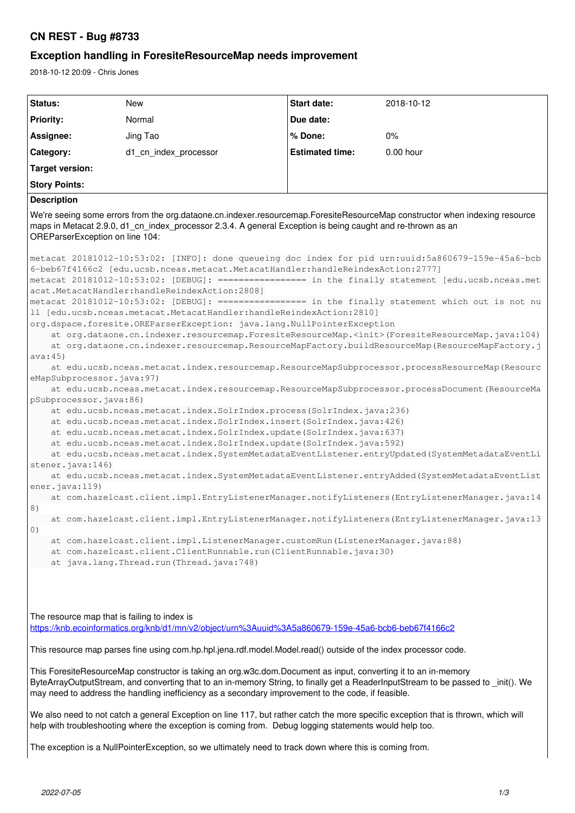## **CN REST - Bug #8733**

## **Exception handling in ForesiteResourceMap needs improvement**

2018-10-12 20:09 - Chris Jones

| Status:                                                                                                                                                                                                                                                                                                                                                                                                                                                                                                                                                                                                                                                                                                                                                                                                                                                                                                                                                                                                                                                                                                                                                                                                                                                                                                                                                                                                                                                                                                                                                                                                                                                                                                                                                                                                                                                           | <b>New</b>            | Start date:            | 2018-10-12 |  |
|-------------------------------------------------------------------------------------------------------------------------------------------------------------------------------------------------------------------------------------------------------------------------------------------------------------------------------------------------------------------------------------------------------------------------------------------------------------------------------------------------------------------------------------------------------------------------------------------------------------------------------------------------------------------------------------------------------------------------------------------------------------------------------------------------------------------------------------------------------------------------------------------------------------------------------------------------------------------------------------------------------------------------------------------------------------------------------------------------------------------------------------------------------------------------------------------------------------------------------------------------------------------------------------------------------------------------------------------------------------------------------------------------------------------------------------------------------------------------------------------------------------------------------------------------------------------------------------------------------------------------------------------------------------------------------------------------------------------------------------------------------------------------------------------------------------------------------------------------------------------|-----------------------|------------------------|------------|--|
| <b>Priority:</b>                                                                                                                                                                                                                                                                                                                                                                                                                                                                                                                                                                                                                                                                                                                                                                                                                                                                                                                                                                                                                                                                                                                                                                                                                                                                                                                                                                                                                                                                                                                                                                                                                                                                                                                                                                                                                                                  | Normal                | Due date:              |            |  |
| Assignee:                                                                                                                                                                                                                                                                                                                                                                                                                                                                                                                                                                                                                                                                                                                                                                                                                                                                                                                                                                                                                                                                                                                                                                                                                                                                                                                                                                                                                                                                                                                                                                                                                                                                                                                                                                                                                                                         | Jing Tao              | % Done:                | 0%         |  |
| Category:                                                                                                                                                                                                                                                                                                                                                                                                                                                                                                                                                                                                                                                                                                                                                                                                                                                                                                                                                                                                                                                                                                                                                                                                                                                                                                                                                                                                                                                                                                                                                                                                                                                                                                                                                                                                                                                         | d1_cn_index_processor | <b>Estimated time:</b> | 0.00 hour  |  |
| <b>Target version:</b>                                                                                                                                                                                                                                                                                                                                                                                                                                                                                                                                                                                                                                                                                                                                                                                                                                                                                                                                                                                                                                                                                                                                                                                                                                                                                                                                                                                                                                                                                                                                                                                                                                                                                                                                                                                                                                            |                       |                        |            |  |
| <b>Story Points:</b>                                                                                                                                                                                                                                                                                                                                                                                                                                                                                                                                                                                                                                                                                                                                                                                                                                                                                                                                                                                                                                                                                                                                                                                                                                                                                                                                                                                                                                                                                                                                                                                                                                                                                                                                                                                                                                              |                       |                        |            |  |
| <b>Description</b>                                                                                                                                                                                                                                                                                                                                                                                                                                                                                                                                                                                                                                                                                                                                                                                                                                                                                                                                                                                                                                                                                                                                                                                                                                                                                                                                                                                                                                                                                                                                                                                                                                                                                                                                                                                                                                                |                       |                        |            |  |
| We're seeing some errors from the org.dataone.cn.indexer.resourcemap.ForesiteResourceMap constructor when indexing resource<br>maps in Metacat 2.9.0, d1_cn_index_processor 2.3.4. A general Exception is being caught and re-thrown as an<br>OREParserException on line 104:                                                                                                                                                                                                                                                                                                                                                                                                                                                                                                                                                                                                                                                                                                                                                                                                                                                                                                                                                                                                                                                                                                                                                                                                                                                                                                                                                                                                                                                                                                                                                                                     |                       |                        |            |  |
| metacat 20181012-10:53:02: [INFO]: done queueing doc index for pid urn:uuid:5a860679-159e-45a6-bcb<br>6-beb67f4166c2 [edu.ucsb.nceas.metacat.MetacatHandler:handleReindexAction:2777]<br>metacat 20181012-10:53:02: [DEBUG]: ================ in the finally statement [edu.ucsb.nceas.met<br>acat.MetacatHandler:handleReindexAction:2808]<br>metacat 20181012-10:53:02: [DEBUG]: ================ in the finally statement which out is not nu<br>ll [edu.ucsb.nceas.metacat.MetacatHandler:handleReindexAction:2810]<br>org.dspace.foresite.OREParserException: java.lang.NullPointerException<br>at org.dataone.cn.indexer.resourcemap.ForesiteResourceMap. <init>(ForesiteResourceMap.java:104)<br/>at org.dataone.cn.indexer.resourcemap.ResourceMapFactory.buildResourceMap(ResourceMapFactory.j<br/>ava:45)<br/>at edu.ucsb.nceas.metacat.index.resourcemap.ResourceMapSubprocessor.processResourceMap(Resourc<br/>eMapSubprocessor.java:97)<br/>at edu.ucsb.nceas.metacat.index.resourcemap.ResourceMapSubprocessor.processDocument (ResourceMa<br/>pSubprocessor.java:86)<br/>at edu.ucsb.nceas.metacat.index.SolrIndex.process(SolrIndex.java:236)<br/>at edu.ucsb.nceas.metacat.index.SolrIndex.insert(SolrIndex.java: 426)<br/>at edu.ucsb.nceas.metacat.index.SolrIndex.update(SolrIndex.java:637)<br/>at edu.ucsb.nceas.metacat.index.SolrIndex.update(SolrIndex.java:592)<br/>at edu.ucsb.nceas.metacat.index.SystemMetadataEventListener.entryUpdated(SystemMetadataEventLi<br/>stener.java:146)<br/>at edu.ucsb.nceas.metacat.index.SystemMetadataEventListener.entryAdded(SystemMetadataEventList<br/>ener.java:119<br/>at com.hazelcast.client.impl.EntryListenerManager.notifyListeners(EntryListenerManager.java:14<br/>8)<br/>at com.hazelcast.client.impl.EntryListenerManager.notifyListeners(EntryListenerManager.java:13<br/>0)</init> |                       |                        |            |  |
| at com.hazelcast.client.impl.ListenerManager.customRun(ListenerManager.java:88)<br>at com.hazelcast.client.ClientRunnable.run(ClientRunnable.java:30)<br>at java.lang.Thread.run(Thread.java:748)                                                                                                                                                                                                                                                                                                                                                                                                                                                                                                                                                                                                                                                                                                                                                                                                                                                                                                                                                                                                                                                                                                                                                                                                                                                                                                                                                                                                                                                                                                                                                                                                                                                                 |                       |                        |            |  |
| The resource map that is failing to index is<br>https://knb.ecoinformatics.org/knb/d1/mn/v2/object/urn%3Auuid%3A5a860679-159e-45a6-bcb6-beb67f4166c2                                                                                                                                                                                                                                                                                                                                                                                                                                                                                                                                                                                                                                                                                                                                                                                                                                                                                                                                                                                                                                                                                                                                                                                                                                                                                                                                                                                                                                                                                                                                                                                                                                                                                                              |                       |                        |            |  |
| This resource map parses fine using com.hp.hpl.jena.rdf.model.Model.read() outside of the index processor code.                                                                                                                                                                                                                                                                                                                                                                                                                                                                                                                                                                                                                                                                                                                                                                                                                                                                                                                                                                                                                                                                                                                                                                                                                                                                                                                                                                                                                                                                                                                                                                                                                                                                                                                                                   |                       |                        |            |  |
| This ForesiteResourceMap constructor is taking an org.w3c.dom.Document as input, converting it to an in-memory<br>ByteArrayOutputStream, and converting that to an in-memory String, to finally get a ReaderInputStream to be passed to _init(). We<br>may need to address the handling inefficiency as a secondary improvement to the code, if feasible.                                                                                                                                                                                                                                                                                                                                                                                                                                                                                                                                                                                                                                                                                                                                                                                                                                                                                                                                                                                                                                                                                                                                                                                                                                                                                                                                                                                                                                                                                                         |                       |                        |            |  |
| We also need to not catch a general Exception on line 117, but rather catch the more specific exception that is thrown, which will<br>help with troubleshooting where the exception is coming from. Debug logging statements would help too.                                                                                                                                                                                                                                                                                                                                                                                                                                                                                                                                                                                                                                                                                                                                                                                                                                                                                                                                                                                                                                                                                                                                                                                                                                                                                                                                                                                                                                                                                                                                                                                                                      |                       |                        |            |  |
| The exception is a NullPointerException, so we ultimately need to track down where this is coming from.                                                                                                                                                                                                                                                                                                                                                                                                                                                                                                                                                                                                                                                                                                                                                                                                                                                                                                                                                                                                                                                                                                                                                                                                                                                                                                                                                                                                                                                                                                                                                                                                                                                                                                                                                           |                       |                        |            |  |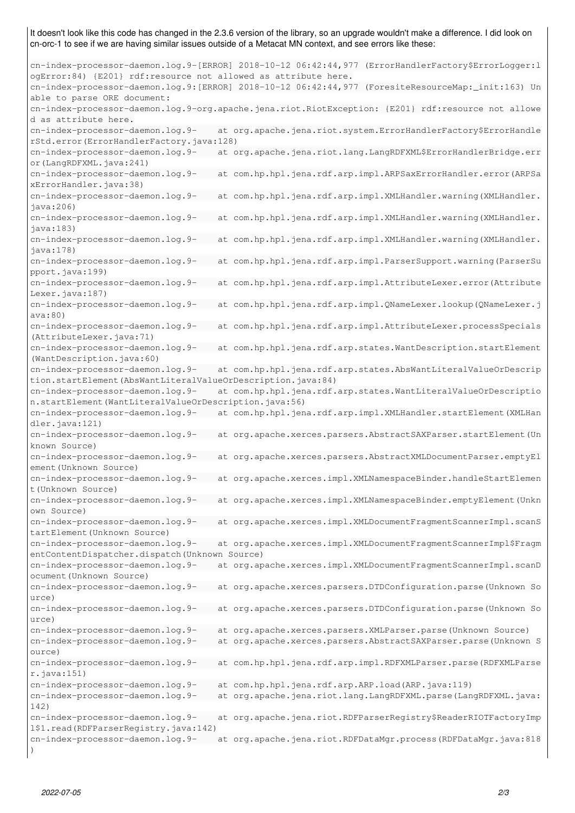It doesn't look like this code has changed in the 2.3.6 version of the library, so an upgrade wouldn't make a difference. I did look on cn-orc-1 to see if we are having similar issues outside of a Metacat MN context, and see errors like these:

cn-index-processor-daemon.log.9-[ERROR] 2018-10-12 06:42:44,977 (ErrorHandlerFactory\$ErrorLogger:l ogError:84) {E201} rdf:resource not allowed as attribute here. cn-index-processor-daemon.log.9:[ERROR] 2018-10-12 06:42:44,977 (ForesiteResourceMap:\_init:163) Un able to parse ORE document: cn-index-processor-daemon.log.9-org.apache.jena.riot.RiotException: {E201} rdf:resource not allowe d as attribute here. cn-index-processor-daemon.log.9- at org.apache.jena.riot.system.ErrorHandlerFactory\$ErrorHandle rStd.error(ErrorHandlerFactory.java:128) cn-index-processor-daemon.log.9- at org.apache.jena.riot.lang.LangRDFXML\$ErrorHandlerBridge.err or(LangRDFXML.java:241) cn-index-processor-daemon.log.9- at com.hp.hpl.jena.rdf.arp.impl.ARPSaxErrorHandler.error(ARPSa xErrorHandler.java:38) cn-index-processor-daemon.log.9- at com.hp.hpl.jena.rdf.arp.impl.XMLHandler.warning(XMLHandler. java:206) cn-index-processor-daemon.log.9- at com.hp.hpl.jena.rdf.arp.impl.XMLHandler.warning(XMLHandler. java:183) cn-index-processor-daemon.log.9- at com.hp.hpl.jena.rdf.arp.impl.XMLHandler.warning(XMLHandler. java:178) cn-index-processor-daemon.log.9- at com.hp.hpl.jena.rdf.arp.impl.ParserSupport.warning(ParserSu pport.java:199) cn-index-processor-daemon.log.9- at com.hp.hpl.jena.rdf.arp.impl.AttributeLexer.error(Attribute Lexer.java:187) cn-index-processor-daemon.log.9- at com.hp.hpl.jena.rdf.arp.impl.QNameLexer.lookup(QNameLexer.j ava:80) cn-index-processor-daemon.log.9- at com.hp.hpl.jena.rdf.arp.impl.AttributeLexer.processSpecials (AttributeLexer.java:71) cn-index-processor-daemon.log.9- at com.hp.hpl.jena.rdf.arp.states.WantDescription.startElement (WantDescription.java:60) cn-index-processor-daemon.log.9- at com.hp.hpl.jena.rdf.arp.states.AbsWantLiteralValueOrDescrip tion.startElement(AbsWantLiteralValueOrDescription.java:84) cn-index-processor-daemon.log.9- at com.hp.hpl.jena.rdf.arp.states.WantLiteralValueOrDescriptio n.startElement(WantLiteralValueOrDescription.java:56) cn-index-processor-daemon.log.9- at com.hp.hpl.jena.rdf.arp.impl.XMLHandler.startElement(XMLHan dler.java:121) cn-index-processor-daemon.log.9- at org.apache.xerces.parsers.AbstractSAXParser.startElement(Un known Source) cn-index-processor-daemon.log.9- at org.apache.xerces.parsers.AbstractXMLDocumentParser.emptyEl ement(Unknown Source) cn-index-processor-daemon.log.9- at org.apache.xerces.impl.XMLNamespaceBinder.handleStartElemen t(Unknown Source) cn-index-processor-daemon.log.9- at org.apache.xerces.impl.XMLNamespaceBinder.emptyElement(Unkn own Source) cn-index-processor-daemon.log.9- at org.apache.xerces.impl.XMLDocumentFragmentScannerImpl.scanS tartElement(Unknown Source) cn-index-processor-daemon.log.9- at org.apache.xerces.impl.XMLDocumentFragmentScannerImpl\$Fragm entContentDispatcher.dispatch(Unknown Source) cn-index-processor-daemon.log.9- at org.apache.xerces.impl.XMLDocumentFragmentScannerImpl.scanD ocument(Unknown Source) cn-index-processor-daemon.log.9- at org.apache.xerces.parsers.DTDConfiguration.parse(Unknown So urce) cn-index-processor-daemon.log.9- at org.apache.xerces.parsers.DTDConfiguration.parse(Unknown So urce) cn-index-processor-daemon.log.9- at org.apache.xerces.parsers.XMLParser.parse(Unknown Source) cn-index-processor-daemon.log.9- at org.apache.xerces.parsers.AbstractSAXParser.parse(Unknown S ource) cn-index-processor-daemon.log.9- at com.hp.hpl.jena.rdf.arp.impl.RDFXMLParser.parse(RDFXMLParse r.java:151) cn-index-processor-daemon.log.9- at com.hp.hpl.jena.rdf.arp.ARP.load(ARP.java:119) cn-index-processor-daemon.log.9- at org.apache.jena.riot.lang.LangRDFXML.parse(LangRDFXML.java: 142) cn-index-processor-daemon.log.9- at org.apache.jena.riot.RDFParserRegistry\$ReaderRIOTFactoryImp l\$1.read(RDFParserRegistry.java:142) cn-index-processor-daemon.log.9- at org.apache.jena.riot.RDFDataMgr.process(RDFDataMgr.java:818 )